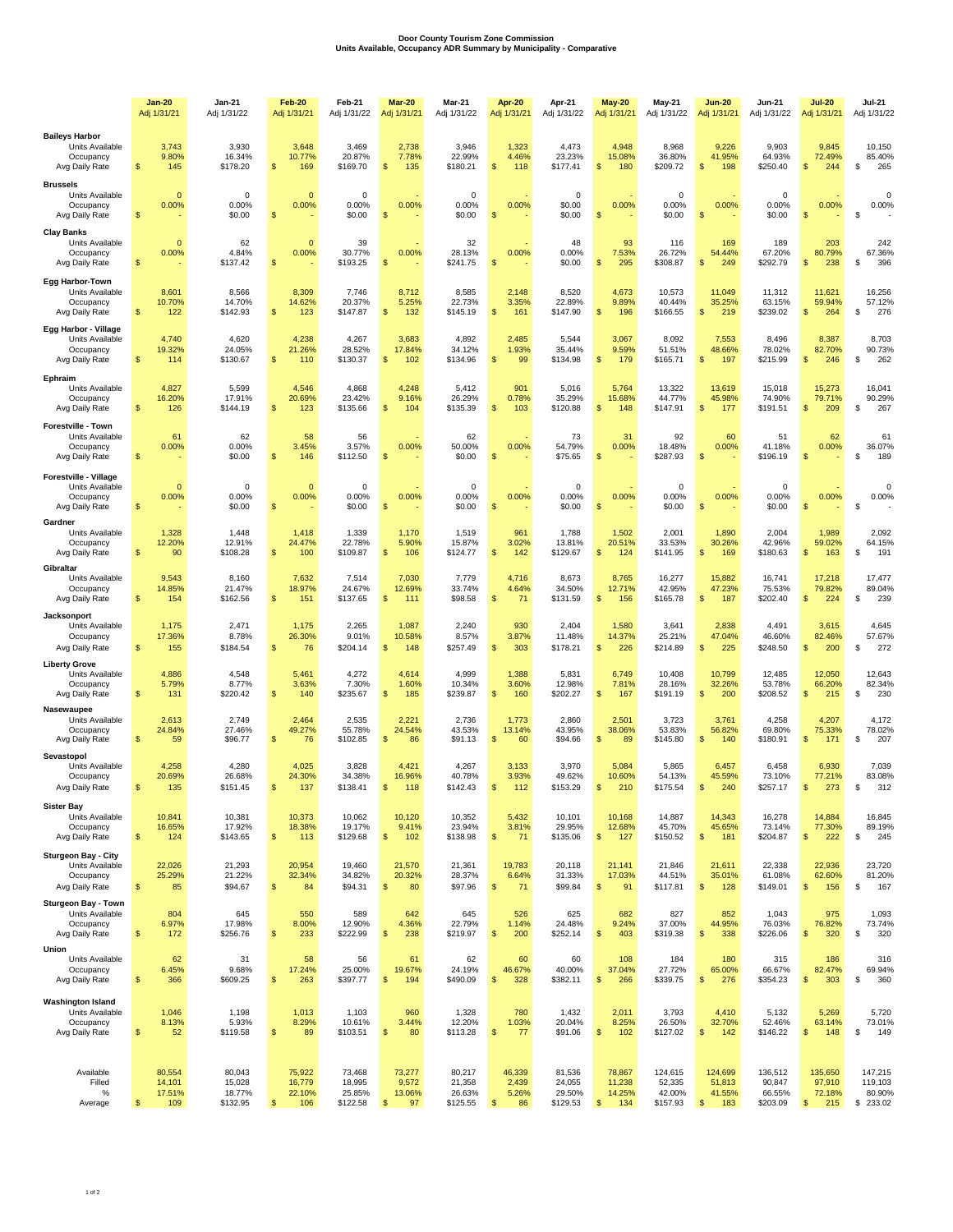## **Door County Tourism Zone Commission Units Available, Occupancy ADR Summary by Municipality - Comparative**

|                                                                                       | <b>Jan-20</b><br>Adj 1/31/21             | <b>Jan-21</b><br>Adj 1/31/22           | <b>Feb-20</b><br>Adj 1/31/21              | Feb-21<br>Adj 1/31/22                  | Mar-20<br>Adj 1/31/21                            | Mar-21<br>Adj 1/31/22                  | <b>Apr 20</b><br>Adj 1/31/21                    | Apr-21<br>Adj 1/31/22                  | <b>May 20</b><br>Adj 1/31/21                       | May-21<br>Adj 1/31/22                   | <b>Jun-20</b><br>Adj 1/31/21                        | <b>Jun-21</b><br>Adj 1/31/22            | <b>Jul-20</b><br>Adj 1/31/21                        | <b>Jul-21</b><br>Adj 1/31/22              |
|---------------------------------------------------------------------------------------|------------------------------------------|----------------------------------------|-------------------------------------------|----------------------------------------|--------------------------------------------------|----------------------------------------|-------------------------------------------------|----------------------------------------|----------------------------------------------------|-----------------------------------------|-----------------------------------------------------|-----------------------------------------|-----------------------------------------------------|-------------------------------------------|
| <b>Baileys Harbor</b><br>Units Available<br>Occupancy<br>Avg Daily Rate               | 3,743<br>9.80%<br>\$<br>145              | 3,930<br>16.34%<br>\$178.20            | 3,648<br>10.77%<br>\$<br>169              | 3,469<br>20.87%<br>\$169.70            | 2,738<br>7.78%<br>\$<br>135                      | 3,946<br>22.99%<br>\$180.21            | 1,323<br>4.46%<br>S<br>118                      | 4,473<br>23.23%<br>\$177.41            | 4,948<br>15.08%<br>\$<br>180                       | 8,968<br>36.80%<br>\$209.72             | 9,226<br>41.95%<br>\$<br>198                        | 9,903<br>64.93%<br>\$250.40             | 9,845<br>72.49%<br>\$<br>244                        | 10,150<br>85.40%<br>S<br>265              |
| <b>Brussels</b><br>Units Available<br>Occupancy<br>Avg Daily Rate                     | $\mathbf{0}$<br>0.00%<br>$\mathsf{\$}$   | $^{\circ}$<br>0.00%<br>\$0.00          | $\circ$<br>0.00%<br>\$                    | $\mathbf 0$<br>0.00%<br>\$0.00         | 0.00%<br>\$                                      | $\mathbf 0$<br>0.00%<br>\$0.00         | 0.00%<br>\$                                     | $\mathbf 0$<br>\$0.00<br>\$0.00        | 0.00%<br>$\sqrt{2}$                                | $\mathbf 0$<br>0.00%<br>\$0.00          | 0.00%<br>$\sqrt[6]{3}$                              | 0<br>0.00%<br>\$0.00                    | 0.00%<br>\$                                         | $\Omega$<br>0.00%<br>\$                   |
| <b>Clay Banks</b><br>Units Available<br>Occupancy<br>Avg Daily Rate                   | $\mathbf{0}$<br>0.00%<br>\$              | 62<br>4.84%<br>\$137.42                | $\mathbf{0}$<br>0.00%<br>\$               | 39<br>30.77%<br>\$193.25               | 0.00%<br>\$                                      | 32<br>28.13%<br>\$241.75               | 0.00%<br>\$                                     | 48<br>0.00%<br>\$0.00                  | 93<br>7.53%<br>\$<br>295                           | 116<br>26.72%<br>\$308.87               | 169<br>54.44%<br>\$<br>249                          | 189<br>67.20%<br>\$292.79               | 203<br>80.79%<br>238<br>\$                          | 242<br>67.36%<br>\$<br>396                |
| <b>Egg Harbor-Town</b><br>Units Available<br>Occupancy<br>Avg Daily Rate              | 8,601<br>10.70%<br>$\mathfrak{s}$<br>122 | 8,566<br>14.70%<br>\$142.93            | 8,309<br>14.62%<br>\$<br>123              | 7,746<br>20.37%<br>\$147.87            | 8,712<br>5.25%<br>\$<br>132                      | 8,585<br>22.73%<br>\$145.19            | 2,148<br>3.35%<br>\$<br>161                     | 8,520<br>22.89%<br>\$147.90            | 4,673<br>9.89%<br>$\frac{1}{2}$<br>196             | 10,573<br>40.44%<br>\$166.55            | 11,049<br>35.25%<br>219<br>S                        | 11,312<br>63.15%<br>\$239.02            | 11,621<br>59.94%<br>\$<br>264                       | 16,256<br>57.12%<br>\$<br>276             |
| Egg Harbor - Village<br>Units Available<br>Occupancy<br>Avg Daily Rate                | 4,740<br>19.32%<br>$\mathfrak{s}$<br>114 | 4,620<br>24.05%<br>\$130.67            | 4,238<br>21.26%<br>\$<br>110              | 4,267<br>28.52%<br>\$130.37            | 3,683<br>17.84%<br>\$<br>102                     | 4,892<br>34.12%<br>\$134.96            | 2,485<br>1.93%<br>$\frac{1}{2}$<br>99           | 5,544<br>35.44%<br>\$134.98            | 3,067<br>9.59%<br>$\frac{1}{2}$<br>179             | 8,092<br>51.51%<br>\$165.71             | 7,553<br>48.66%<br>\$<br>197                        | 8,496<br>78.02%<br>\$215.99             | 8,387<br>82.70%<br>\$<br>246                        | 8,703<br>90.73%<br>\$<br>262              |
| Ephraim<br>Units Available<br>Occupancy<br>Avg Daily Rate                             | 4,827<br>16.20%<br>\$<br>126             | 5,599<br>17.91%<br>\$144.19            | 4,546<br>20.69%<br>\$<br>123              | 4,868<br>23.42%<br>\$135.66            | 4,248<br>9.16%<br>\$<br>104                      | 5,412<br>26.29%<br>\$135.39            | 901<br>0.78%<br>\$<br>103                       | 5,016<br>35.29%<br>\$120.88            | 5,764<br>15.68%<br>\$<br>148                       | 13,322<br>44.77%<br>\$147.91            | 13,619<br>45.98%<br>177<br>S                        | 15,018<br>74.90%<br>\$191.51            | 15,273<br>79.71%<br>\$<br>209                       | 16,041<br>90.29%<br>S<br>267              |
| <b>Forestville - Town</b><br>Units Available<br>Occupancy<br>Avg Daily Rate           | 61<br>0.00%<br>\$                        | 62<br>0.00%<br>\$0.00                  | 58<br>3.45%<br>\$<br>146                  | 56<br>3.57%<br>\$112.50                | 0.00%<br>S                                       | 62<br>50.00%<br>\$0.00                 | 0.00%<br>S                                      | 73<br>54.79%<br>\$75.65                | 31<br>0.00%<br><sup>\$</sup>                       | 92<br>18.48%<br>\$287.93                | 60<br>0.00%<br>$\mathfrak{s}$                       | 51<br>41.18%<br>\$196.19                | 62<br>0.00%<br>\$                                   | 61<br>36.07%<br>S<br>189                  |
| Forestville - Village<br>Units Available<br>Occupancy<br>Avg Daily Rate<br>Gardner    | $\mathbf 0$<br>0.00%<br>\$               | $^{\circ}$<br>0.00%<br>\$0.00          | $\circ$<br>0.00%<br>\$                    | $\mathbf 0$<br>0.00%<br>\$0.00         | 0.00%<br>\$                                      | $\mathbf 0$<br>0.00%<br>\$0.00         | 0.00%<br>$\$$                                   | $\mathbf 0$<br>0.00%<br>\$0.00         | 0.00%<br>$\sqrt{2}$                                | $\mathbf 0$<br>0.00%<br>\$0.00          | 0.00%<br>\$                                         | 0<br>0.00%<br>\$0.00                    | 0.00%<br>\$                                         | $\Omega$<br>0.00%<br>\$                   |
| Units Available<br>Occupancy<br>Avg Daily Rate<br>Gibraltar                           | 1,328<br>12.20%<br>$\mathfrak{s}$<br>90  | 1,448<br>12.91%<br>\$108.28            | 1,418<br>24.47%<br>$\mathfrak{s}$<br>100  | 1,339<br>22.78%<br>\$109.87            | 1,170<br>5.90%<br>\$<br>106                      | 1,519<br>15.87%<br>\$124.77            | 961<br>3.02%<br>\$<br>142                       | 1,788<br>13.81%<br>\$129.67            | 1,502<br>20.51%<br>$\frac{1}{2}$<br>124            | 2,001<br>33.53%<br>\$141.95             | 1,890<br>30.26%<br>\$<br>169                        | 2,004<br>42.96%<br>\$180.63             | 1,989<br>59.02%<br>\$<br>163                        | 2,092<br>64.15%<br>S<br>191               |
| Units Available<br>Occupancy<br>Avg Daily Rate<br>Jacksonport                         | 9,543<br>14.85%<br>\$<br>154             | 8,160<br>21.47%<br>\$162.56            | 7,632<br>18.97%<br>\$<br>151              | 7,514<br>24.67%<br>\$137.65            | 7,030<br>12.69%<br>\$<br>111                     | 7,779<br>33.74%<br>\$98.58             | 4,716<br>4.64%<br>\$<br>71                      | 8,673<br>34.50%<br>\$131.59            | 8,765<br>12.71%<br>\$<br>156                       | 16,277<br>42.95%<br>\$165.78            | 15,882<br>47.23%<br>187<br>\$                       | 16,741<br>75.53%<br>\$202.40            | 17,218<br>79.82%<br>\$<br>224                       | 17,477<br>89.04%<br>\$<br>239             |
| Units Available<br>Occupancy<br>Avg Daily Rate                                        | 1,175<br>17.36%<br>\$<br>155             | 2,471<br>8.78%<br>\$184.54             | 1,175<br>26.30%<br>\$<br>76               | 2,265<br>9.01%<br>\$204.14             | 1,087<br>10.58%<br>\$<br>148                     | 2,240<br>8.57%<br>\$257.49             | 930<br>3.87%<br>\$<br>303                       | 2,404<br>11.48%<br>\$178.21            | 1,580<br>14.37%<br>\$<br>226                       | 3,641<br>25.21%<br>\$214.89             | 2,838<br>47.04%<br>\$<br>225                        | 4,491<br>46.60%<br>\$248.50             | 3,615<br>82.46%<br>\$<br>200                        | 4,645<br>57.67%<br>\$<br>272              |
| <b>Liberty Grove</b><br>Units Available<br>Occupancy<br>Avg Daily Rate                | 4,886<br>5.79%<br>\$<br>131              | 4,548<br>8.77%<br>\$220.42             | 5,461<br>3.63%<br>\$<br>140               | 4,272<br>7.30%<br>\$235.67             | 4,614<br>1.60%<br>\$<br>185                      | 4,999<br>10.34%<br>\$239.87            | 1,388<br>3.60%<br>\$<br>160                     | 5,831<br>12.98%<br>\$202.27            | 6,749<br>7.81%<br>\$<br>167                        | 10,408<br>28.16%<br>\$191.19            | 10,799<br>32.26%<br>200<br>\$                       | 12,485<br>53.78%<br>\$208.52            | 12,050<br>66.20%<br>\$<br>215                       | 12,643<br>82.34%<br>S<br>230              |
| <b>Nasewaupee</b><br>Units Available<br>Occupancy<br>Avg Daily Rate<br>Sevastopol     | 2,613<br>24.84%<br>\$<br>59              | 2,749<br>27.46%<br>\$96.77             | 2,464<br>49.27%<br>\$<br>76               | 2,535<br>55.78%<br>\$102.85            | 2,221<br>24.54%<br>\$<br>86                      | 2,736<br>43.53%<br>\$91.13             | 1,773<br>13.14%<br>\$<br>60                     | 2,860<br>43.95%<br>\$94.66             | 2,501<br>38.06%<br>\$<br>89                        | 3,723<br>53.83%<br>\$145.80             | 3,761<br>56.82%<br>\$<br>140                        | 4,258<br>69.80%<br>\$180.91             | 4,207<br>75.33%<br>\$<br>171                        | 4,172<br>78.02%<br>S<br>207               |
| Units Available<br>Occupancy<br>Avg Daily Rate                                        | 4,258<br>20.69%<br>\$<br>135             | 4,280<br>26.68%<br>\$151.45            | 4,025<br>24.30%<br>\$<br>137              | 3,828<br>34.38%<br>\$138.41            | 4,421<br>16.96%<br>\$<br>118                     | 4,267<br>40.78%<br>\$142.43            | 3,133<br>3.93%<br>S<br>112                      | 3,970<br>49.62%<br>\$153.29            | 5,084<br>10.60%<br><sup>\$</sup><br>210            | 5,865<br>54.13%<br>\$175.54             | 6,457<br>45.59%<br>S<br>240                         | 6,458<br>73.10%<br>\$257.17             | 6,930<br>77.21%<br>\$<br>273                        | 7,039<br>83.08%<br>S<br>312               |
| <b>Sister Bay</b><br>Units Available<br>Occupancy<br>Avg Daily Rate                   | 10,841<br>16.65%<br>\$<br>124            | 10,381<br>17.92%<br>\$143.65           | 10,373<br>18.38%<br>$\mathfrak{s}$<br>113 | 10,062<br>19.17%<br>\$129.68           | 10,120<br>9.41%<br>$\frac{1}{2}$<br>102          | 10,352<br>23.94%<br>\$138.98           | 5,432<br>3.81%<br>$\sqrt[6]{3}$<br>71           | 10,101<br>29.95%<br>\$135.06           | 10,168<br>12.68%<br>\$<br>127                      | 14,887<br>45.70%<br>\$150.52            | 14,343<br>45.65%<br>$\sqrt[6]{3}$<br>181            | 16,278<br>73.14%<br>\$204.87            | 14,884<br>77.30%<br>\$<br>222                       | 16,845<br>89.19%<br>\$<br>245             |
| <b>Sturgeon Bay - City</b><br>Units Available<br>Occupancy<br>Avg Daily Rate          | 22,026<br>25.29%<br>\$<br>85             | 21,293<br>21.22%<br>\$94.67            | 20,954<br>32.34%<br>$\mathsf{\$}$<br>84   | 19,460<br>34.82%<br>\$94.31            | 21,570<br>20.32%<br>$\frac{1}{2}$<br>80          | 21,361<br>28.37%<br>\$97.96            | 19,783<br>6.64%<br>\$<br>71                     | 20,118<br>31.33%<br>\$99.84            | 21,141<br>17.03%<br>$\frac{1}{2}$<br>91            | 21,846<br>44.51%<br>\$117.81            | 21,611<br>35.01%<br>$\sqrt[6]{3}$<br>128            | 22,338<br>61.08%<br>\$149.01            | 22,936<br>62.60%<br>\$<br>156                       | 23,720<br>81.20%<br>\$<br>167             |
| <b>Sturgeon Bay - Town</b><br>Units Available<br>Occupancy<br>Avg Daily Rate<br>Union | 804<br>6.97%<br>$\mathsf{\$}$<br>172     | 645<br>17.98%<br>\$256.76              | 550<br>8.00%<br>233<br>$\mathfrak{s}$     | 589<br>12.90%<br>\$222.99              | 642<br>4.36%<br>$$\mathbb{S}$$<br>238            | 645<br>22.79%<br>\$219.97              | 526<br>1.14%<br>$\sqrt{2}$<br>200               | 625<br>24.48%<br>\$252.14              | 682<br>9.24%<br>$\sqrt[6]{3}$<br>403               | 827<br>37.00%<br>\$319.38               | 852<br>44.95%<br>$\sqrt{2}$<br>338                  | 1,043<br>76.03%<br>\$226.06             | 975<br>76.82%<br>320<br>\$                          | 1,093<br>73.74%<br>320<br>\$              |
| Units Available<br>Occupancy<br>Avg Daily Rate                                        | 62<br>6.45%<br>$\mathsf{\$}$<br>366      | 31<br>9.68%<br>\$609.25                | 58<br>17.24%<br>$\mathsf{\$}$<br>263      | 56<br>25.00%<br>\$397.77               | 61<br>19.67%<br>\$<br>194                        | 62<br>24.19%<br>\$490.09               | 60<br>46.67%<br>$\sqrt[6]{3}$<br>328            | 60<br>40.00%<br>\$382.11               | 108<br>37.04%<br>$\frac{1}{2}$<br>266              | 184<br>27.72%<br>\$339.75               | 180<br>65.00%<br>$\sqrt[6]{3}$<br>276               | 315<br>66.67%<br>\$354.23               | 186<br>82.47%<br>\$<br>303                          | 316<br>69.94%<br>\$<br>360                |
| <b>Washington Island</b><br>Units Available<br>Occupancy<br>Avg Daily Rate            | 1,046<br>8.13%<br>\$<br>52               | 1,198<br>5.93%<br>\$119.58             | 1,013<br>8.29%<br>$\mathsf{\$}$<br>89     | 1,103<br>10.61%<br>\$103.51            | 960<br>3.44%<br>$\frac{1}{2}$<br>80              | 1,328<br>12.20%<br>\$113.28            | 780<br>1.03%<br>$\sqrt{2}$<br>77                | 1,432<br>20.04%<br>\$91.06             | 2,011<br>8.25%<br>$\frac{1}{2}$<br>102             | 3,793<br>26.50%<br>\$127.02             | 4,410<br>32.70%<br>\$<br>142                        | 5,132<br>52.46%<br>\$146.22             | 5,269<br>63.14%<br>\$<br>148                        | 5,720<br>73.01%<br>\$<br>149              |
| Available<br>Filled<br>%<br>Average                                                   | 80,554<br>14,101<br>17.51%<br>\$<br>109  | 80,043<br>15,028<br>18.77%<br>\$132.95 | 75,922<br>16,779<br>22.10%<br>\$<br>106   | 73,468<br>18,995<br>25.85%<br>\$122.58 | 73,277<br>9,572<br>13.06%<br>$\frac{1}{2}$<br>97 | 80,217<br>21,358<br>26.63%<br>\$125.55 | 46,339<br>2,439<br>5.26%<br>$\sqrt[6]{3}$<br>86 | 81,536<br>24,055<br>29.50%<br>\$129.53 | 78,867<br>11,238<br>14.25%<br>$\sqrt[6]{3}$<br>134 | 124,615<br>52,335<br>42.00%<br>\$157.93 | 124,699<br>51,813<br>41.55%<br>$\sqrt[6]{3}$<br>183 | 136,512<br>90,847<br>66.55%<br>\$203.09 | 135,650<br>97,910<br>72.18%<br>$\sqrt[6]{3}$<br>215 | 147,215<br>119,103<br>80.90%<br>\$ 233.02 |